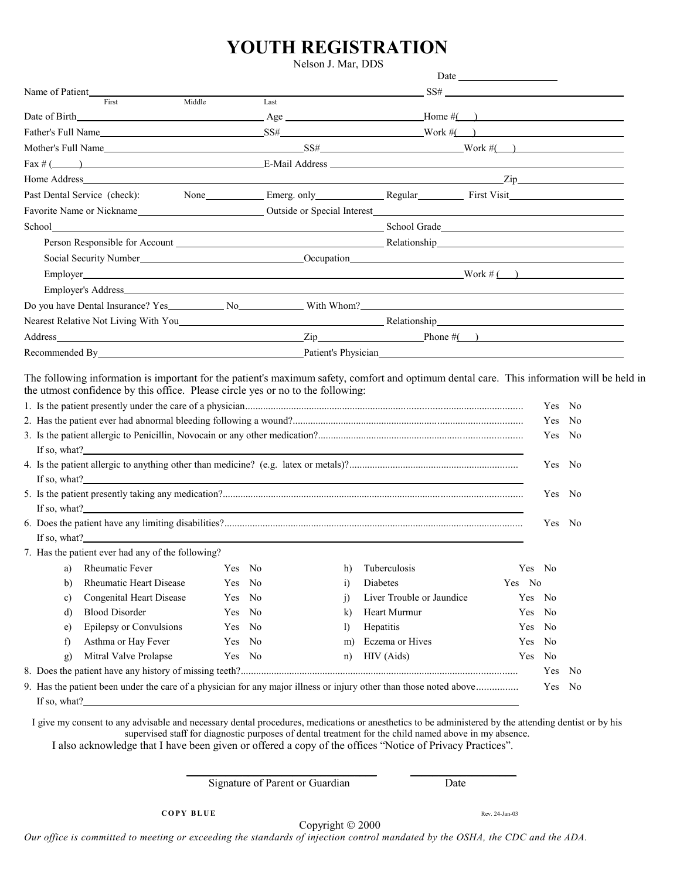## **YOUTH REGISTRATION**

Nelson J. Mar, DDS

| Name of Patient                                                                                                                            |                                                                                                                                                                                                                                  |        |      |                                                                          |                           | $SS\# \begin{tabular}{c} \multicolumn{2}{c} {\textbf{SS}}\# \end{tabular}$ |        |        |  |
|--------------------------------------------------------------------------------------------------------------------------------------------|----------------------------------------------------------------------------------------------------------------------------------------------------------------------------------------------------------------------------------|--------|------|--------------------------------------------------------------------------|---------------------------|----------------------------------------------------------------------------|--------|--------|--|
|                                                                                                                                            | First                                                                                                                                                                                                                            | Middle | Last |                                                                          |                           |                                                                            |        |        |  |
|                                                                                                                                            |                                                                                                                                                                                                                                  |        |      | Date of Birth $\qquad \qquad \text{Age} \qquad \qquad \text{Home} \#( )$ |                           |                                                                            |        |        |  |
|                                                                                                                                            |                                                                                                                                                                                                                                  |        |      | Father's Full Name $SS\#$ $SS\#$ Work $\#$ $\#$                          |                           |                                                                            |        |        |  |
|                                                                                                                                            |                                                                                                                                                                                                                                  |        |      |                                                                          |                           |                                                                            |        |        |  |
|                                                                                                                                            | $Fax \neq$ (1) E-Mail Address 2. E-Mail Address 2. E-Mail Address 2. E-Mail Address 2. E-Mail Address 2. E-Mail Address 2. E-Mail Address 2. E-Mail Address 2. E-Mail Address 2. E-Mail Address 2. E-Mail Address 2. E-Mail Addr |        |      |                                                                          |                           |                                                                            |        |        |  |
|                                                                                                                                            |                                                                                                                                                                                                                                  |        |      |                                                                          |                           |                                                                            |        |        |  |
| None Emerg. only Regular First Visit<br>Past Dental Service (check):                                                                       |                                                                                                                                                                                                                                  |        |      |                                                                          |                           |                                                                            |        |        |  |
|                                                                                                                                            |                                                                                                                                                                                                                                  |        |      |                                                                          |                           |                                                                            |        |        |  |
|                                                                                                                                            |                                                                                                                                                                                                                                  |        |      |                                                                          |                           |                                                                            |        |        |  |
|                                                                                                                                            |                                                                                                                                                                                                                                  |        |      |                                                                          |                           |                                                                            |        |        |  |
|                                                                                                                                            |                                                                                                                                                                                                                                  |        |      |                                                                          |                           |                                                                            |        |        |  |
| Employer Work # $($ )                                                                                                                      |                                                                                                                                                                                                                                  |        |      |                                                                          |                           |                                                                            |        |        |  |
|                                                                                                                                            |                                                                                                                                                                                                                                  |        |      |                                                                          |                           |                                                                            |        |        |  |
|                                                                                                                                            |                                                                                                                                                                                                                                  |        |      |                                                                          |                           |                                                                            |        |        |  |
|                                                                                                                                            |                                                                                                                                                                                                                                  |        |      |                                                                          |                           |                                                                            |        |        |  |
|                                                                                                                                            |                                                                                                                                                                                                                                  |        |      |                                                                          |                           |                                                                            |        |        |  |
| Recommended By Patient's Physician Patient's Physician Patient's Physician Patient's Physician Patient's Physician                         |                                                                                                                                                                                                                                  |        |      |                                                                          |                           |                                                                            |        |        |  |
|                                                                                                                                            |                                                                                                                                                                                                                                  |        |      |                                                                          |                           |                                                                            |        |        |  |
| The following information is important for the patient's maximum safety, comfort and optimum dental care. This information will be held in |                                                                                                                                                                                                                                  |        |      |                                                                          |                           |                                                                            |        |        |  |
| the utmost confidence by this office. Please circle yes or no to the following:                                                            |                                                                                                                                                                                                                                  |        |      |                                                                          |                           |                                                                            |        |        |  |
|                                                                                                                                            |                                                                                                                                                                                                                                  |        |      |                                                                          |                           |                                                                            |        | Yes No |  |
|                                                                                                                                            |                                                                                                                                                                                                                                  |        |      |                                                                          |                           |                                                                            | Yes No |        |  |
|                                                                                                                                            |                                                                                                                                                                                                                                  |        |      |                                                                          |                           |                                                                            |        | Yes No |  |
| If so, what? $\qquad \qquad$                                                                                                               |                                                                                                                                                                                                                                  |        |      |                                                                          |                           |                                                                            |        |        |  |
|                                                                                                                                            |                                                                                                                                                                                                                                  |        |      |                                                                          |                           |                                                                            |        | Yes No |  |
| If so, what?                                                                                                                               |                                                                                                                                                                                                                                  |        |      |                                                                          |                           |                                                                            |        |        |  |
|                                                                                                                                            |                                                                                                                                                                                                                                  |        |      |                                                                          |                           |                                                                            |        | Yes No |  |
| If so, what?                                                                                                                               |                                                                                                                                                                                                                                  |        |      |                                                                          |                           |                                                                            |        |        |  |
|                                                                                                                                            |                                                                                                                                                                                                                                  |        |      |                                                                          |                           |                                                                            |        | Yes No |  |
| If so, what?                                                                                                                               |                                                                                                                                                                                                                                  |        |      |                                                                          |                           |                                                                            |        |        |  |
|                                                                                                                                            | 7. Has the patient ever had any of the following?                                                                                                                                                                                |        |      |                                                                          |                           |                                                                            |        |        |  |
|                                                                                                                                            | a) Rheumatic Fever Yes No h) Tuberculosis                                                                                                                                                                                        |        |      |                                                                          |                           |                                                                            | Yes No |        |  |
| b)                                                                                                                                         | <b>Rheumatic Heart Disease</b>                                                                                                                                                                                                   | Yes No |      | $\ddot{1}$                                                               | Diabetes                  |                                                                            | Yes No |        |  |
| c)                                                                                                                                         | Congenital Heart Disease                                                                                                                                                                                                         | Yes No |      | $\overline{1}$                                                           | Liver Trouble or Jaundice |                                                                            | Yes No |        |  |
| d)                                                                                                                                         | <b>Blood Disorder</b>                                                                                                                                                                                                            | Yes No |      | k)                                                                       | Heart Murmur              |                                                                            | Yes    | No     |  |
| e)                                                                                                                                         | Epilepsy or Convulsions                                                                                                                                                                                                          | Yes No |      | $\mathbf{I}$                                                             | Hepatitis                 |                                                                            | Yes    | No     |  |
| f)                                                                                                                                         | Asthma or Hay Fever                                                                                                                                                                                                              | Yes No |      | m)                                                                       | Eczema or Hives           |                                                                            | Yes    | No     |  |
| g)                                                                                                                                         | Mitral Valve Prolapse                                                                                                                                                                                                            | Yes No |      | n)                                                                       | HIV (Aids)                |                                                                            | Yes    | No     |  |
|                                                                                                                                            |                                                                                                                                                                                                                                  |        |      |                                                                          |                           |                                                                            |        | Yes No |  |
|                                                                                                                                            | 9. Has the patient been under the care of a physician for any major illness or injury other than those noted above<br>Yes No                                                                                                     |        |      |                                                                          |                           |                                                                            |        |        |  |
|                                                                                                                                            |                                                                                                                                                                                                                                  |        |      |                                                                          |                           |                                                                            |        |        |  |

I give my consent to any advisable and necessary dental procedures, medications or anesthetics to be administered by the attending dentist or by his supervised staff for diagnostic purposes of dental treatment for the child named above in my absence. I also acknowledge that I have been given or offered a copy of the offices "Notice of Privacy Practices".

 $\frac{1}{2}$  , and the set of the set of the set of the set of the set of the set of the set of the set of the set of the set of the set of the set of the set of the set of the set of the set of the set of the set of the set

Signature of Parent or Guardian Date

Copyright  $@$  2000

*Our office is committed to meeting or exceeding the standards of injection control mandated by the OSHA, the CDC and the ADA.*